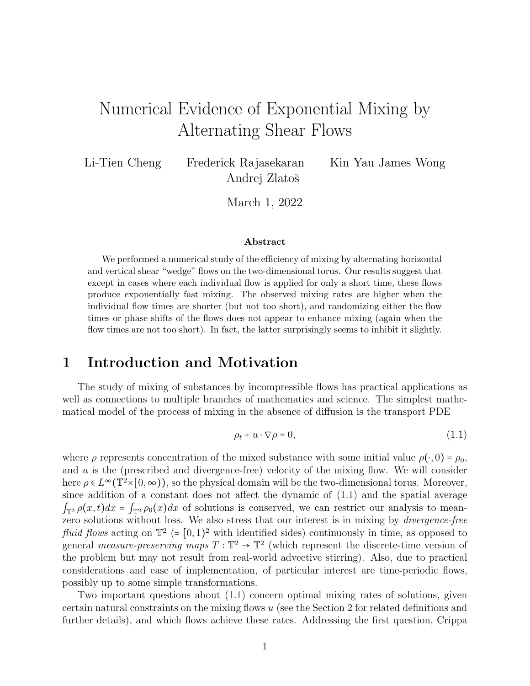# Numerical Evidence of Exponential Mixing by Alternating Shear Flows

Li-Tien Cheng Frederick Rajasekaran Kin Yau James Wong Andrej Zlatoš

March 1, 2022

#### Abstract

We performed a numerical study of the efficiency of mixing by alternating horizontal and vertical shear "wedge" flows on the two-dimensional torus. Our results suggest that except in cases where each individual flow is applied for only a short time, these flows produce exponentially fast mixing. The observed mixing rates are higher when the individual flow times are shorter (but not too short), and randomizing either the flow times or phase shifts of the flows does not appear to enhance mixing (again when the flow times are not too short). In fact, the latter surprisingly seems to inhibit it slightly.

## 1 Introduction and Motivation

The study of mixing of substances by incompressible flows has practical applications as well as connections to multiple branches of mathematics and science. The simplest mathematical model of the process of mixing in the absence of diffusion is the transport PDE

$$
\rho_t + u \cdot \nabla \rho = 0,\tag{1.1}
$$

where  $\rho$  represents concentration of the mixed substance with some initial value  $\rho(\cdot, 0) = \rho_0$ , and  $u$  is the (prescribed and divergence-free) velocity of the mixing flow. We will consider here  $\rho \in L^{\infty}(\mathbb{T}^2 \times [0,\infty))$ , so the physical domain will be the two-dimensional torus. Moreover, since addition of a constant does not affect the dynamic of (1.1) and the spatial average  $\int_{\mathbb{T}^2} \rho(x,t) dx = \int_{\mathbb{T}^2} \rho_0(x) dx$  of solutions is conserved, we can restrict our analysis to meanzero solutions without loss. We also stress that our interest is in mixing by *divergence-free* fluid flows acting on  $\mathbb{T}^2$  (=  $[0,1)^2$  with identified sides) continuously in time, as opposed to general *measure-preserving maps*  $T : \mathbb{T}^2 \to \mathbb{T}^2$  (which represent the discrete-time version of the problem but may not result from real-world advective stirring). Also, due to practical considerations and ease of implementation, of particular interest are time-periodic flows, possibly up to some simple transformations.

Two important questions about (1.1) concern optimal mixing rates of solutions, given certain natural constraints on the mixing flows u (see the Section 2 for related definitions and further details), and which flows achieve these rates. Addressing the first question, Crippa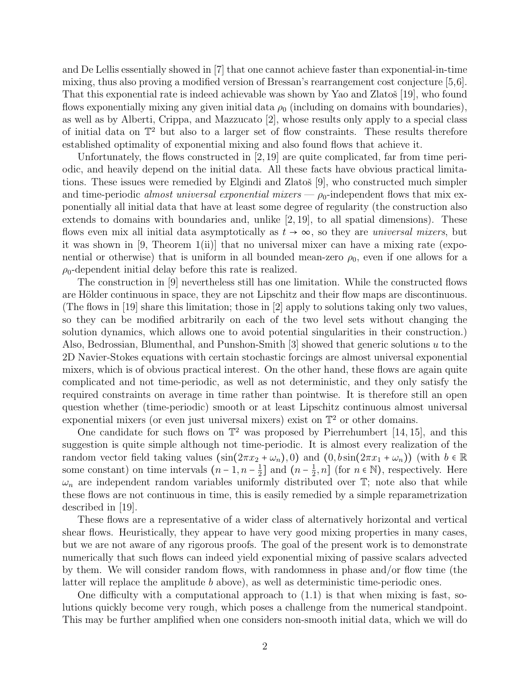and De Lellis essentially showed in [7] that one cannot achieve faster than exponential-in-time mixing, thus also proving a modified version of Bressan's rearrangement cost conjecture [5,6]. That this exponential rate is indeed achievable was shown by Yao and Zlatoš  $[19]$ , who found flows exponentially mixing any given initial data  $\rho_0$  (including on domains with boundaries), as well as by Alberti, Crippa, and Mazzucato [2], whose results only apply to a special class of initial data on T<sup>2</sup> but also to a larger set of flow constraints. These results therefore established optimality of exponential mixing and also found flows that achieve it.

Unfortunately, the flows constructed in [2, 19] are quite complicated, far from time periodic, and heavily depend on the initial data. All these facts have obvious practical limitations. These issues were remedied by Elgindi and Zlatoš [9], who constructed much simpler and time-periodic almost universal exponential mixers  $-\rho_0$ -independent flows that mix exponentially all initial data that have at least some degree of regularity (the construction also extends to domains with boundaries and, unlike [2, 19], to all spatial dimensions). These flows even mix all initial data asymptotically as  $t \to \infty$ , so they are *universal mixers*, but it was shown in [9, Theorem 1(ii)] that no universal mixer can have a mixing rate (exponential or otherwise) that is uniform in all bounded mean-zero  $\rho_0$ , even if one allows for a  $\rho_0$ -dependent initial delay before this rate is realized.

The construction in [9] nevertheless still has one limitation. While the constructed flows are Hölder continuous in space, they are not Lipschitz and their flow maps are discontinuous. (The flows in [19] share this limitation; those in [2] apply to solutions taking only two values, so they can be modified arbitrarily on each of the two level sets without changing the solution dynamics, which allows one to avoid potential singularities in their construction.) Also, Bedrossian, Blumenthal, and Punshon-Smith  $[3]$  showed that generic solutions u to the 2D Navier-Stokes equations with certain stochastic forcings are almost universal exponential mixers, which is of obvious practical interest. On the other hand, these flows are again quite complicated and not time-periodic, as well as not deterministic, and they only satisfy the required constraints on average in time rather than pointwise. It is therefore still an open question whether (time-periodic) smooth or at least Lipschitz continuous almost universal exponential mixers (or even just universal mixers) exist on  $\mathbb{T}^2$  or other domains.

One candidate for such flows on  $\mathbb{T}^2$  was proposed by Pierrehumbert [14, 15], and this suggestion is quite simple although not time-periodic. It is almost every realization of the random vector field taking values  $(\sin(2\pi x_2 + \omega_n), 0)$  and  $(0, b\sin(2\pi x_1 + \omega_n))$  (with  $b \in \mathbb{R}$ ) some constant) on time intervals  $(n-1, n-\frac{1}{2})$  $\frac{1}{2}$ ] and  $(n-\frac{1}{2})$  $(\frac{1}{2}, n]$  (for  $n \in \mathbb{N}$ ), respectively. Here  $\omega_n$  are independent random variables uniformly distributed over  $\mathbb{T}$ ; note also that while these flows are not continuous in time, this is easily remedied by a simple reparametrization described in [19].

These flows are a representative of a wider class of alternatively horizontal and vertical shear flows. Heuristically, they appear to have very good mixing properties in many cases, but we are not aware of any rigorous proofs. The goal of the present work is to demonstrate numerically that such flows can indeed yield exponential mixing of passive scalars advected by them. We will consider random flows, with randomness in phase and/or flow time (the latter will replace the amplitude b above), as well as deterministic time-periodic ones.

One difficulty with a computational approach to  $(1.1)$  is that when mixing is fast, solutions quickly become very rough, which poses a challenge from the numerical standpoint. This may be further amplified when one considers non-smooth initial data, which we will do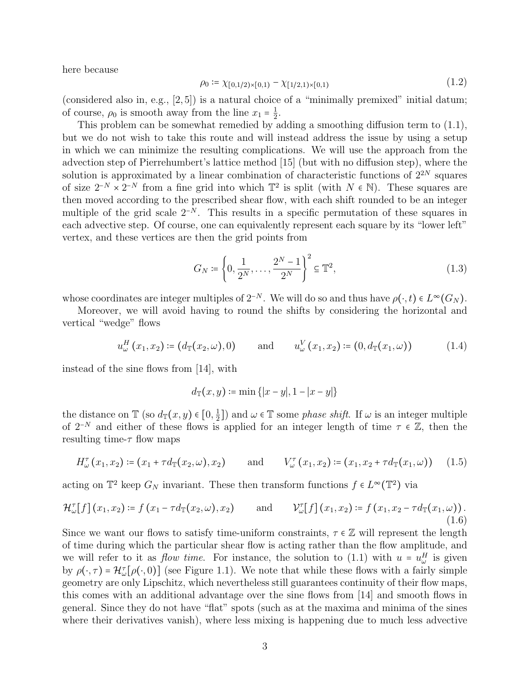here because

$$
\rho_0 := \chi_{[0,1/2)\times[0,1)} - \chi_{[1/2,1)\times[0,1)} \tag{1.2}
$$

(considered also in, e.g.,  $[2,5]$ ) is a natural choice of a "minimally premixed" initial datum; of course,  $\rho_0$  is smooth away from the line  $x_1 = \frac{1}{2}$ <br>This problem can be separated provided by  $\frac{1}{2}$ .

This problem can be somewhat remedied by adding a smoothing diffusion term to (1.1), but we do not wish to take this route and will instead address the issue by using a setup in which we can minimize the resulting complications. We will use the approach from the advection step of Pierrehumbert's lattice method [15] (but with no diffusion step), where the solution is approximated by a linear combination of characteristic functions of  $2^{2N}$  squares of size  $2^{-N} \times 2^{-N}$  from a fine grid into which  $\mathbb{T}^2$  is split (with  $N \in \mathbb{N}$ ). These squares are<br>then moved according to the prescribed sheep flow with each shift neural to be an integer then moved according to the prescribed shear flow, with each shift rounded to be an integer multiple of the grid scale  $2^{-N}$ . This results in a specific permutation of these squares in each advective step. Of course, one can equivalently represent each square by its "lower left" vertex, and these vertices are then the grid points from

$$
G_N \coloneqq \left\{ 0, \frac{1}{2^N}, \dots, \frac{2^N - 1}{2^N} \right\}^2 \subseteq \mathbb{T}^2,\tag{1.3}
$$

whose coordinates are integer multiples of  $2^{-N}$ . We will do so and thus have  $\rho(\cdot, t) \in L^{\infty}(G_N)$ .

Moreover, we will avoid having to round the shifts by considering the horizontal and vertical "wedge" flows

$$
u_{\omega}^{H}(x_{1}, x_{2}) \coloneqq (d_{\mathbb{T}}(x_{2}, \omega), 0) \quad \text{and} \quad u_{\omega}^{V}(x_{1}, x_{2}) \coloneqq (0, d_{\mathbb{T}}(x_{1}, \omega)) \quad (1.4)
$$

instead of the sine flows from [14], with

$$
d_{\mathbb{T}}(x, y) \coloneqq \min\{|x - y|, 1 - |x - y|\}
$$

the distance on  $\mathbb{T}$  (so  $d_{\mathbb{T}}(x, y) \in [0, \frac{1}{2}]$  $(\frac{1}{2})$  and  $\omega \in \mathbb{T}$  some *phase shift*. If  $\omega$  is an integer multiple of 2<sup>−N</sup> and either of these flows is applied for an integer length of time  $\tau \in \mathbb{Z}$ , then the resulting time- $\tau$  flow maps

$$
H_{\omega}^{\tau}(x_1, x_2) \coloneqq (x_1 + \tau d_{\mathbb{T}}(x_2, \omega), x_2) \quad \text{and} \quad V_{\omega}^{\tau}(x_1, x_2) \coloneqq (x_1, x_2 + \tau d_{\mathbb{T}}(x_1, \omega)) \quad (1.5)
$$

acting on  $\mathbb{T}^2$  keep  $G_N$  invariant. These then transform functions  $f \in L^{\infty}(\mathbb{T}^2)$  via

$$
\mathcal{H}_{\omega}^{\tau}[f](x_1,x_2) \coloneqq f(x_1 - \tau d_{\mathbb{T}}(x_2,\omega), x_2) \quad \text{and} \quad \mathcal{V}_{\omega}^{\tau}[f](x_1,x_2) \coloneqq f(x_1, x_2 - \tau d_{\mathbb{T}}(x_1,\omega)). \tag{1.6}
$$

Since we want our flows to satisfy time-uniform constraints,  $\tau \in \mathbb{Z}$  will represent the length of time during which the particular shear flow is acting rather than the flow amplitude, and we will refer to it as *flow time*. For instance, the solution to  $(1.1)$  with  $u = u_u^H$  is given<br>here  $(x - 1)$ ,  $2(x + 1)$  (see Figure 1.1). We note that while these flows with a fairly simple by  $\rho(\cdot, \tau) = \mathcal{H}_{\omega}^{\tau}[\rho(\cdot, 0)]$  (see Figure 1.1). We note that while these flows with a fairly simple geometry are only Lipschitz, which nevertheless still guarantees continuity of their flow maps, this comes with an additional advantage over the sine flows from [14] and smooth flows in general. Since they do not have "flat" spots (such as at the maxima and minima of the sines where their derivatives vanish), where less mixing is happening due to much less advective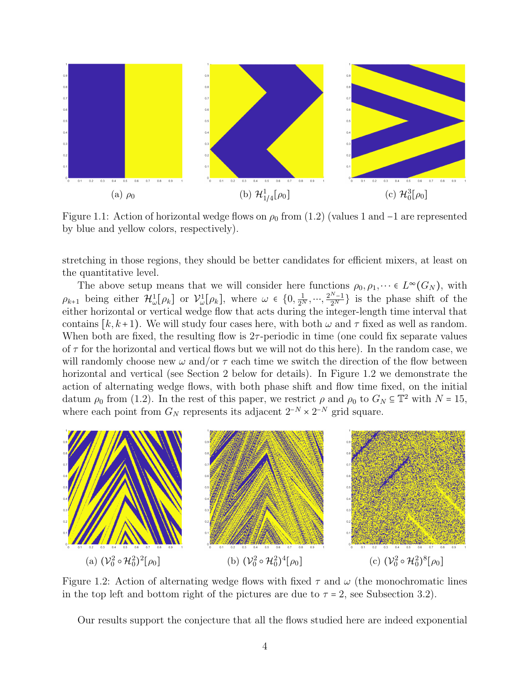

Figure 1.1: Action of horizontal wedge flows on  $\rho_0$  from (1.2) (values 1 and -1 are represented by blue and yellow colors, respectively).

stretching in those regions, they should be better candidates for efficient mixers, at least on the quantitative level.

The above setup means that we will consider here functions  $\rho_0, \rho_1, \dots \in L^{\infty}(G_N)$ , with  $\rho_{k+1}$  being either  $\mathcal{H}^1_\omega[\rho_k]$  or  $\mathcal{V}^1_\omega[\rho_k]$ , where  $\omega \in \{0, \frac{1}{2^N}, \dots, \frac{2^{N-1}}{2^N}\}$  is the phase shift of the either horizontal or vertical wedge flow that acts during the integer-length time interval that contains  $[k, k+1]$ . We will study four cases here, with both  $\omega$  and  $\tau$  fixed as well as random. When both are fixed, the resulting flow is  $2\tau$ -periodic in time (one could fix separate values of  $\tau$  for the horizontal and vertical flows but we will not do this here). In the random case, we will randomly choose new  $\omega$  and/or  $\tau$  each time we switch the direction of the flow between horizontal and vertical (see Section 2 below for details). In Figure 1.2 we demonstrate the action of alternating wedge flows, with both phase shift and flow time fixed, on the initial datum  $\rho_0$  from (1.2). In the rest of this paper, we restrict  $\rho$  and  $\rho_0$  to  $G_N \subseteq \mathbb{T}^2$  with  $N = 15$ , where each point from  $G_N$  represents its adjacent  $2^{-N} \times 2^{-N}$  grid square.



Figure 1.2: Action of alternating wedge flows with fixed  $\tau$  and  $\omega$  (the monochromatic lines in the top left and bottom right of the pictures are due to  $\tau = 2$ , see Subsection 3.2).

Our results support the conjecture that all the flows studied here are indeed exponential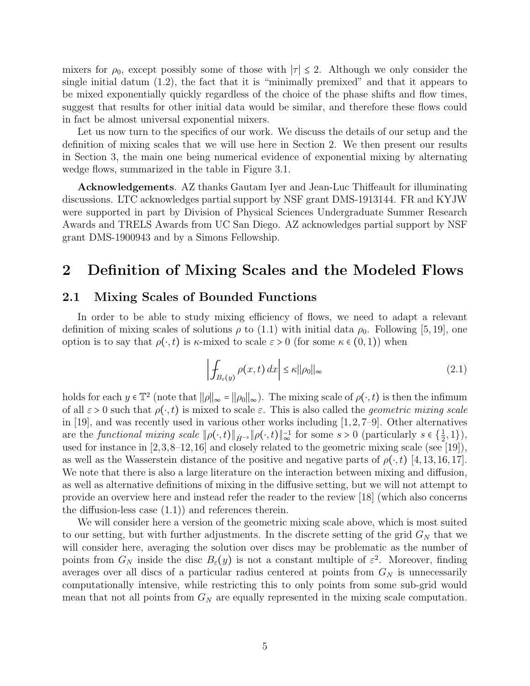mixers for  $\rho_0$ , except possibly some of those with  $|\tau| \leq 2$ . Although we only consider the single initial datum (1.2), the fact that it is "minimally premixed" and that it appears to be mixed exponentially quickly regardless of the choice of the phase shifts and flow times, suggest that results for other initial data would be similar, and therefore these flows could in fact be almost universal exponential mixers.

Let us now turn to the specifics of our work. We discuss the details of our setup and the definition of mixing scales that we will use here in Section 2. We then present our results in Section 3, the main one being numerical evidence of exponential mixing by alternating wedge flows, summarized in the table in Figure 3.1.

Acknowledgements. AZ thanks Gautam Iyer and Jean-Luc Thiffeault for illuminating discussions. LTC acknowledges partial support by NSF grant DMS-1913144. FR and KYJW were supported in part by Division of Physical Sciences Undergraduate Summer Research Awards and TRELS Awards from UC San Diego. AZ acknowledges partial support by NSF grant DMS-1900943 and by a Simons Fellowship.

### 2 Definition of Mixing Scales and the Modeled Flows

### 2.1 Mixing Scales of Bounded Functions

In order to be able to study mixing efficiency of flows, we need to adapt a relevant definition of mixing scales of solutions  $\rho$  to (1.1) with initial data  $\rho_0$ . Following [5, 19], one option is to say that  $\rho(\cdot,t)$  is  $\kappa$ -mixed to scale  $\varepsilon > 0$  (for some  $\kappa \in (0,1)$ ) when

$$
\left| \int_{B_{\varepsilon}(y)} \rho(x, t) \, dx \right| \le \kappa ||\rho_0||_{\infty} \tag{2.1}
$$

holds for each  $y \in \mathbb{T}^2$  (note that  $||\rho||_{\infty} = ||\rho_0||_{\infty}$ ). The mixing scale of  $\rho(\cdot, t)$  is then the infimum of all  $\varepsilon > 0$  such that  $\rho(\cdot, t)$  is mixed to scale  $\varepsilon$ . This is also called the *geometric mixing scale* in [19], and was recently used in various other works including  $[1,2,7-9]$ . Other alternatives are the *functional mixing scale*  $\|\rho(\cdot,t)\|_{\dot{H}^{-s}} \|\rho(\cdot,t)\|_{\infty}^{-1}$  for some  $s > 0$  (particularly  $s \in {\frac{1}{2}}$  $(\frac{1}{2}, 1)$ ), used for instance in [2,3,8–12,16] and closely related to the geometric mixing scale (see [19]), as well as the Wasserstein distance of the positive and negative parts of  $\rho(\cdot, t)$  [4, 13, 16, 17]. We note that there is also a large literature on the interaction between mixing and diffusion, as well as alternative definitions of mixing in the diffusive setting, but we will not attempt to provide an overview here and instead refer the reader to the review [18] (which also concerns the diffusion-less case (1.1)) and references therein.

We will consider here a version of the geometric mixing scale above, which is most suited to our setting, but with further adjustments. In the discrete setting of the grid  $G_N$  that we will consider here, averaging the solution over discs may be problematic as the number of points from  $G_N$  inside the disc  $B_\varepsilon(y)$  is not a constant multiple of  $\varepsilon^2$ . Moreover, finding averages over all discs of a particular radius centered at points from  $G_N$  is unnecessarily computationally intensive, while restricting this to only points from some sub-grid would mean that not all points from  $G_N$  are equally represented in the mixing scale computation.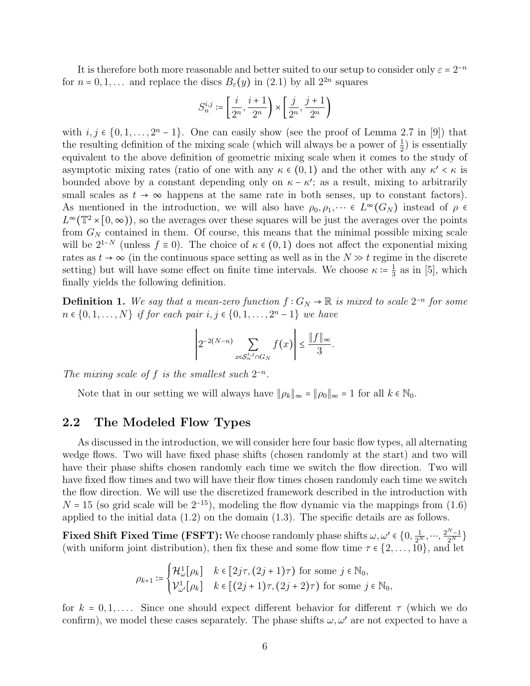It is therefore both more reasonable and better suited to our setup to consider only  $\varepsilon = 2^{-n}$ for  $n = 0, 1, \ldots$  and replace the discs  $B_{\varepsilon}(y)$  in (2.1) by all  $2^{2n}$  squares

$$
S_n^{i,j}\coloneqq\left[\frac{i}{2^n},\frac{i+1}{2^n}\right)\times\left[\frac{j}{2^n},\frac{j+1}{2^n}\right)
$$

with  $i, j \in \{0, 1, \ldots, 2^{n} - 1\}$ . One can easily show (see the proof of Lemma 2.7 in [9]) that the resulting definition of the mixing scale (which will always be a power of  $\frac{1}{2}$ ) is essentially equivalent to the above definition of geometric mixing scale when it comes to the study of asymptotic mixing rates (ratio of one with any  $\kappa \in (0,1)$  and the other with any  $\kappa' < \kappa$  is bounded above by a constant depending only on  $\kappa - \kappa'$ ; as a result, mixing to arbitrarily small scales as  $t \to \infty$  happens at the same rate in both senses, up to constant factors). As mentioned in the introduction, we will also have  $\rho_0, \rho_1, \dots \in L^{\infty}(G_N)$  instead of  $\rho \in$  $L^{\infty}(\mathbb{T}^2\times[0,\infty))$ , so the averages over these squares will be just the averages over the points from  $G_N$  contained in them. Of course, this means that the minimal possible mixing scale will be  $2^{1-N}$  (unless  $f \equiv 0$ ). The choice of  $\kappa \in (0,1)$  does not affect the exponential mixing rates as  $t \to \infty$  (in the continuous space setting as well as in the  $N \gg t$  regime in the discrete setting) but will have some effect on finite time intervals. We choose  $\kappa = \frac{1}{3}$  $\frac{1}{3}$  as in [5], which finally yields the following definition.

**Definition 1.** We say that a mean-zero function  $f: G_N \to \mathbb{R}$  is mixed to scale  $2^{-n}$  for some  $n \in \{0, 1, ..., N\}$  if for each pair  $i, j \in \{0, 1, ..., 2^{n} - 1\}$  we have

$$
\left|2^{-2(N-n)}\sum_{x\in\mathcal{S}_n^{i,j}\cap G_N}f(x)\right|\leq \frac{\|f\|_{\infty}}{3}.
$$

The mixing scale of f is the smallest such  $2^{-n}$ .

Note that in our setting we will always have  $\|\rho_k\|_{\infty} = \|\rho_0\|_{\infty} = 1$  for all  $k \in \mathbb{N}_0$ .

#### 2.2 The Modeled Flow Types

As discussed in the introduction, we will consider here four basic flow types, all alternating wedge flows. Two will have fixed phase shifts (chosen randomly at the start) and two will have their phase shifts chosen randomly each time we switch the flow direction. Two will have fixed flow times and two will have their flow times chosen randomly each time we switch the flow direction. We will use the discretized framework described in the introduction with  $N = 15$  (so grid scale will be  $2^{-15}$ ), modeling the flow dynamic via the mappings from (1.6) applied to the initial data (1.2) on the domain (1.3). The specific details are as follows.

**Fixed Shift Fixed Time (FSFT):** We choose randomly phase shifts  $\omega, \omega' \in \{0, \frac{1}{2^N}, \dots, \frac{2^N-1}{2^N}\}\$ (with uniform joint distribution), then fix these and some flow time  $\tau \in \{2, \ldots, 10\}$ , and let

$$
\rho_{k+1} \coloneqq \begin{cases} \mathcal{H}^1_{\omega}[\rho_k] & k \in [2j\tau, (2j+1)\tau) \text{ for some } j \in \mathbb{N}_0, \\ \mathcal{V}^1_{\omega'}[\rho_k] & k \in [(2j+1)\tau, (2j+2)\tau) \text{ for some } j \in \mathbb{N}_0, \end{cases}
$$

for  $k = 0, 1, \ldots$ . Since one should expect different behavior for different  $\tau$  (which we do confirm), we model these cases separately. The phase shifts  $\omega, \omega'$  are not expected to have a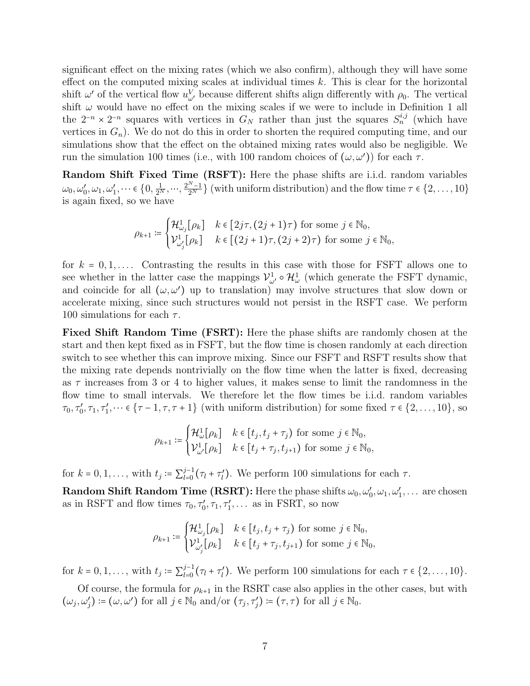significant effect on the mixing rates (which we also confirm), although they will have some effect on the computed mixing scales at individual times  $k$ . This is clear for the horizontal shift  $\omega'$  of the vertical flow  $u^V_{\omega'}$  because different shifts align differently with  $\rho_0$ . The vertical shift  $\omega$  would have no effect on the mixing scales if we were to include in Definition 1 all the  $2^{-n} \times 2^{-n}$  squares with vertices in  $G_N$  rather than just the squares  $S_n^{i,j}$  (which have vertices in  $G_n$ ). We do not do this in order to shorten the required computing time, and our simulations show that the effect on the obtained mixing rates would also be negligible. We run the simulation 100 times (i.e., with 100 random choices of  $(\omega, \omega')$ ) for each  $\tau$ .

Random Shift Fixed Time (RSFT): Here the phase shifts are i.i.d. random variables  $\omega_0, \omega'_0, \omega_1, \omega'_1, \dots \in \{0, \frac{1}{2^N}, \dots, \frac{2^{N-1}}{2^N}\}\$  (with uniform distribution) and the flow time  $\tau \in \{2, \dots, 10\}$ is again fixed, so we have

$$
\rho_{k+1} \coloneqq \begin{cases} \mathcal{H}^1_{\omega_j}[\rho_k] & k \in [2j\tau, (2j+1)\tau) \text{ for some } j \in \mathbb{N}_0, \\ \mathcal{V}^1_{\omega'_j}[\rho_k] & k \in [(2j+1)\tau, (2j+2)\tau) \text{ for some } j \in \mathbb{N}_0, \end{cases}
$$

for  $k = 0, 1, \ldots$ . Contrasting the results in this case with those for FSFT allows one to see whether in the latter case the mappings  $\mathcal{V}^1_{\omega'} \circ \mathcal{H}^1_{\omega}$  (which generate the FSFT dynamic, and coincide for all  $(\omega, \omega')$  up to translation) may involve structures that slow down or accelerate mixing, since such structures would not persist in the RSFT case. We perform 100 simulations for each  $\tau$ .

Fixed Shift Random Time (FSRT): Here the phase shifts are randomly chosen at the start and then kept fixed as in FSFT, but the flow time is chosen randomly at each direction switch to see whether this can improve mixing. Since our FSFT and RSFT results show that the mixing rate depends nontrivially on the flow time when the latter is fixed, decreasing as  $\tau$  increases from 3 or 4 to higher values, it makes sense to limit the randomness in the flow time to small intervals. We therefore let the flow times be i.i.d. random variables  $\tau_0, \tau'_0, \tau_1, \tau'_1, \dots \in {\tau - 1, \tau, \tau + 1}$  (with uniform distribution) for some fixed  $\tau \in \{2, \dots, 10\}$ , so

$$
\rho_{k+1} \coloneqq \begin{cases} \mathcal{H}^1_{\omega}[\rho_k] & k \in [t_j, t_j + \tau_j) \text{ for some } j \in \mathbb{N}_0, \\ \mathcal{V}^1_{\omega'}[\rho_k] & k \in [t_j + \tau_j, t_{j+1}) \text{ for some } j \in \mathbb{N}_0, \end{cases}
$$

for  $k = 0, 1, ...,$  with  $t_j := \sum_{l=0}^{j-1}$  $\int_{l=0}^{j-1} (\tau_l + \tau_l')$ . We perform 100 simulations for each  $\tau$ .

**Random Shift Random Time (RSRT):** Here the phase shifts  $\omega_0, \omega'_0, \omega_1, \omega'_1, \dots$  are chosen as in RSFT and flow times  $\tau_0, \tau'_0, \tau_1, \tau'_1, \ldots$  as in FSRT, so now

$$
\rho_{k+1} \coloneqq \begin{cases} \mathcal{H}^1_{\omega_j}[\rho_k] & k \in [t_j, t_j + \tau_j) \text{ for some } j \in \mathbb{N}_0, \\ \mathcal{V}^1_{\omega'_j}[\rho_k] & k \in [t_j + \tau_j, t_{j+1}) \text{ for some } j \in \mathbb{N}_0, \end{cases}
$$

for  $k = 0, 1, ...,$  with  $t_j := \sum_{l=0}^{j-1}$  $\int_{l=0}^{j-1} (\tau_l + \tau_l')$ . We perform 100 simulations for each  $\tau \in \{2, \ldots, 10\}$ .

Of course, the formula for  $\rho_{k+1}$  in the RSRT case also applies in the other cases, but with  $(\omega_j, \omega'_j) \coloneqq (\omega, \omega')$  for all  $j \in \mathbb{N}_0$  and/or  $(\tau_j, \tau'_j) \coloneqq (\tau, \tau)$  for all  $j \in \mathbb{N}_0$ .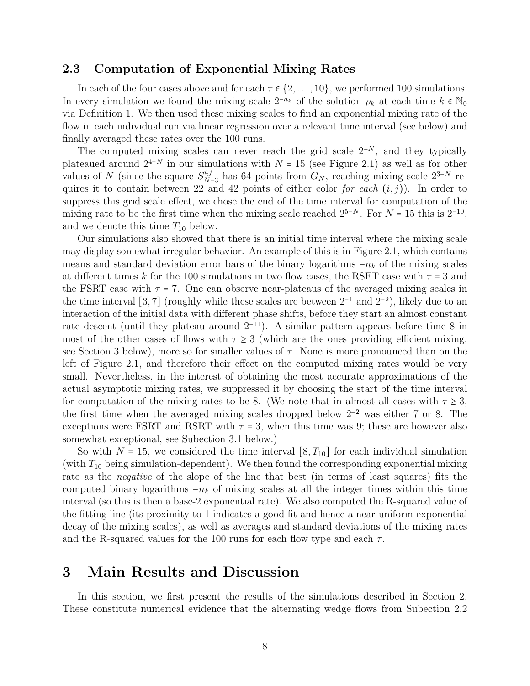#### 2.3 Computation of Exponential Mixing Rates

In each of the four cases above and for each  $\tau \in \{2, \ldots, 10\}$ , we performed 100 simulations. In every simulation we found the mixing scale  $2^{-n_k}$  of the solution  $\rho_k$  at each time  $k \in \mathbb{N}_0$ via Definition 1. We then used these mixing scales to find an exponential mixing rate of the flow in each individual run via linear regression over a relevant time interval (see below) and finally averaged these rates over the 100 runs.

The computed mixing scales can never reach the grid scale  $2^{-N}$ , and they typically plateaued around  $2^{4-N}$  in our simulations with  $N = 15$  (see Figure 2.1) as well as for other values of N (since the square  $S_N^{i,j}$ <sup>n, j</sup> has 64 points from  $G_N$ , reaching mixing scale  $2^{3-N}$  requires it to contain between 22 and 42 points of either color for each  $(i, j)$ ). In order to suppress this grid scale effect, we chose the end of the time interval for computation of the mixing rate to be the first time when the mixing scale reached  $2^{5-N}$ . For  $N = 15$  this is  $2^{-10}$ , and we denote this time  $T_{10}$  below.

Our simulations also showed that there is an initial time interval where the mixing scale may display somewhat irregular behavior. An example of this is in Figure 2.1, which contains means and standard deviation error bars of the binary logarithms  $-n_k$  of the mixing scales at different times k for the 100 simulations in two flow cases, the RSFT case with  $\tau = 3$  and the FSRT case with  $\tau = 7$ . One can observe near-plateaus of the averaged mixing scales in the time interval [3,7] (roughly while these scales are between  $2^{-1}$  and  $2^{-2}$ ), likely due to an interaction of the initial data with different phase shifts, before they start an almost constant rate descent (until they plateau around  $2^{-11}$ ). A similar pattern appears before time 8 in most of the other cases of flows with  $\tau \geq 3$  (which are the ones providing efficient mixing, see Section 3 below), more so for smaller values of  $\tau$ . None is more pronounced than on the left of Figure 2.1, and therefore their effect on the computed mixing rates would be very small. Nevertheless, in the interest of obtaining the most accurate approximations of the actual asymptotic mixing rates, we suppressed it by choosing the start of the time interval for computation of the mixing rates to be 8. (We note that in almost all cases with  $\tau \geq 3$ , the first time when the averaged mixing scales dropped below 2−<sup>2</sup> was either 7 or 8. The exceptions were FSRT and RSRT with  $\tau = 3$ , when this time was 9; these are however also somewhat exceptional, see Subection 3.1 below.)

So with  $N = 15$ , we considered the time interval  $[8, T_{10}]$  for each individual simulation (with  $T_{10}$  being simulation-dependent). We then found the corresponding exponential mixing rate as the negative of the slope of the line that best (in terms of least squares) fits the computed binary logarithms  $-n_k$  of mixing scales at all the integer times within this time interval (so this is then a base-2 exponential rate). We also computed the R-squared value of the fitting line (its proximity to 1 indicates a good fit and hence a near-uniform exponential decay of the mixing scales), as well as averages and standard deviations of the mixing rates and the R-squared values for the 100 runs for each flow type and each  $\tau$ .

### 3 Main Results and Discussion

In this section, we first present the results of the simulations described in Section 2. These constitute numerical evidence that the alternating wedge flows from Subection 2.2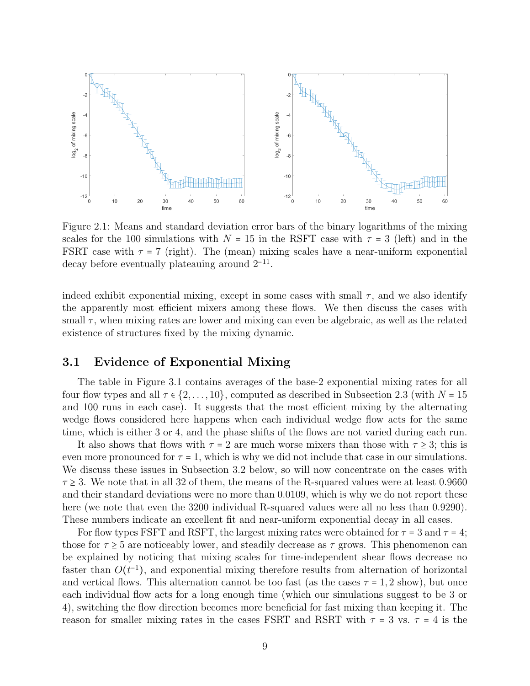

Figure 2.1: Means and standard deviation error bars of the binary logarithms of the mixing scales for the 100 simulations with  $N = 15$  in the RSFT case with  $\tau = 3$  (left) and in the FSRT case with  $\tau = 7$  (right). The (mean) mixing scales have a near-uniform exponential decay before eventually plateauing around 2−<sup>11</sup> .

indeed exhibit exponential mixing, except in some cases with small  $\tau$ , and we also identify the apparently most efficient mixers among these flows. We then discuss the cases with small  $\tau$ , when mixing rates are lower and mixing can even be algebraic, as well as the related existence of structures fixed by the mixing dynamic.

#### 3.1 Evidence of Exponential Mixing

The table in Figure 3.1 contains averages of the base-2 exponential mixing rates for all four flow types and all  $\tau \in \{2, \ldots, 10\}$ , computed as described in Subsection 2.3 (with  $N = 15$ and 100 runs in each case). It suggests that the most efficient mixing by the alternating wedge flows considered here happens when each individual wedge flow acts for the same time, which is either 3 or 4, and the phase shifts of the flows are not varied during each run.

It also shows that flows with  $\tau = 2$  are much worse mixers than those with  $\tau \geq 3$ ; this is even more pronounced for  $\tau = 1$ , which is why we did not include that case in our simulations. We discuss these issues in Subsection 3.2 below, so will now concentrate on the cases with  $\tau \geq 3$ . We note that in all 32 of them, the means of the R-squared values were at least 0.9660 and their standard deviations were no more than 0.0109, which is why we do not report these here (we note that even the 3200 individual R-squared values were all no less than 0.9290). These numbers indicate an excellent fit and near-uniform exponential decay in all cases.

For flow types FSFT and RSFT, the largest mixing rates were obtained for  $\tau = 3$  and  $\tau = 4$ ; those for  $\tau \geq 5$  are noticeably lower, and steadily decrease as  $\tau$  grows. This phenomenon can be explained by noticing that mixing scales for time-independent shear flows decrease no faster than  $O(t^{-1})$ , and exponential mixing therefore results from alternation of horizontal and vertical flows. This alternation cannot be too fast (as the cases  $\tau = 1, 2$  show), but once each individual flow acts for a long enough time (which our simulations suggest to be 3 or 4), switching the flow direction becomes more beneficial for fast mixing than keeping it. The reason for smaller mixing rates in the cases FSRT and RSRT with  $\tau = 3$  vs.  $\tau = 4$  is the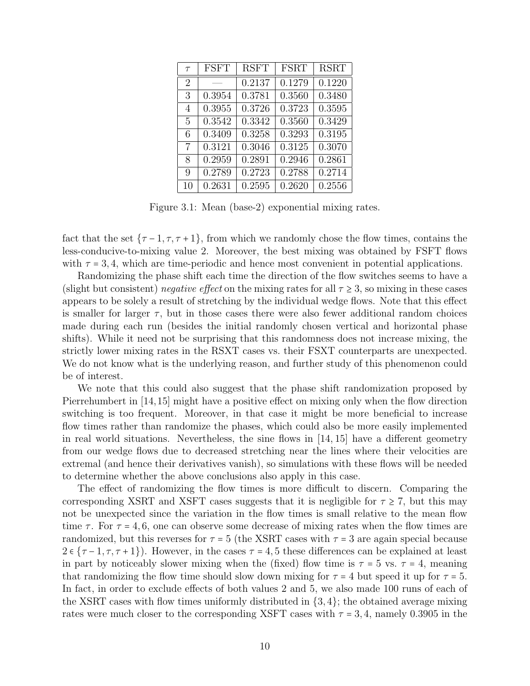| $\tau$         | FSFT   | <b>RSFT</b> | <b>FSRT</b> | <b>RSRT</b> |
|----------------|--------|-------------|-------------|-------------|
| $\overline{2}$ |        | 0.2137      | 0.1279      | 0.1220      |
| 3              | 0.3954 | 0.3781      | 0.3560      | 0.3480      |
| 4              | 0.3955 | 0.3726      | 0.3723      | 0.3595      |
| 5              | 0.3542 | 0.3342      | 0.3560      | 0.3429      |
| 6              | 0.3409 | 0.3258      | 0.3293      | 0.3195      |
| 7              | 0.3121 | 0.3046      | 0.3125      | 0.3070      |
| 8              | 0.2959 | 0.2891      | 0.2946      | 0.2861      |
| 9              | 0.2789 | 0.2723      | 0.2788      | 0.2714      |
| 10             | 0.2631 | 0.2595      | 0.2620      | 0.2556      |

Figure 3.1: Mean (base-2) exponential mixing rates.

fact that the set  $\{\tau-1, \tau, \tau+1\}$ , from which we randomly chose the flow times, contains the less-conducive-to-mixing value 2. Moreover, the best mixing was obtained by FSFT flows with  $\tau = 3, 4$ , which are time-periodic and hence most convenient in potential applications.

Randomizing the phase shift each time the direction of the flow switches seems to have a (slight but consistent) negative effect on the mixing rates for all  $\tau \geq 3$ , so mixing in these cases appears to be solely a result of stretching by the individual wedge flows. Note that this effect is smaller for larger  $\tau$ , but in those cases there were also fewer additional random choices made during each run (besides the initial randomly chosen vertical and horizontal phase shifts). While it need not be surprising that this randomness does not increase mixing, the strictly lower mixing rates in the RSXT cases vs. their FSXT counterparts are unexpected. We do not know what is the underlying reason, and further study of this phenomenon could be of interest.

We note that this could also suggest that the phase shift randomization proposed by Pierrehumbert in [14,15] might have a positive effect on mixing only when the flow direction switching is too frequent. Moreover, in that case it might be more beneficial to increase flow times rather than randomize the phases, which could also be more easily implemented in real world situations. Nevertheless, the sine flows in [14, 15] have a different geometry from our wedge flows due to decreased stretching near the lines where their velocities are extremal (and hence their derivatives vanish), so simulations with these flows will be needed to determine whether the above conclusions also apply in this case.

The effect of randomizing the flow times is more difficult to discern. Comparing the corresponding XSRT and XSFT cases suggests that it is negligible for  $\tau \geq 7$ , but this may not be unexpected since the variation in the flow times is small relative to the mean flow time  $\tau$ . For  $\tau = 4, 6$ , one can observe some decrease of mixing rates when the flow times are randomized, but this reverses for  $\tau = 5$  (the XSRT cases with  $\tau = 3$  are again special because  $2 \in {\tau-1, \tau, \tau+1}$ . However, in the cases  $\tau = 4, 5$  these differences can be explained at least in part by noticeably slower mixing when the (fixed) flow time is  $\tau = 5$  vs.  $\tau = 4$ , meaning that randomizing the flow time should slow down mixing for  $\tau = 4$  but speed it up for  $\tau = 5$ . In fact, in order to exclude effects of both values 2 and 5, we also made 100 runs of each of the XSRT cases with flow times uniformly distributed in  $\{3, 4\}$ ; the obtained average mixing rates were much closer to the corresponding XSFT cases with  $\tau = 3, 4$ , namely 0.3905 in the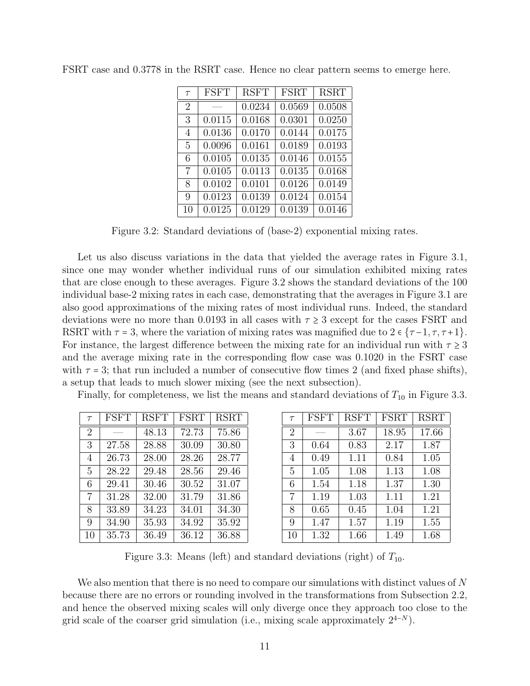| $\tau$         | <b>FSFT</b> | <b>RSFT</b> | <b>FSRT</b> | <b>RSRT</b> |
|----------------|-------------|-------------|-------------|-------------|
| $\overline{2}$ |             | 0.0234      | 0.0569      | 0.0508      |
| 3              | 0.0115      | 0.0168      | 0.0301      | 0.0250      |
| 4              | 0.0136      | 0.0170      | 0.0144      | 0.0175      |
| 5              | 0.0096      | 0.0161      | 0.0189      | 0.0193      |
| 6              | 0.0105      | 0.0135      | 0.0146      | 0.0155      |
| 7              | 0.0105      | 0.0113      | 0.0135      | 0.0168      |
| 8              | 0.0102      | 0.0101      | 0.0126      | 0.0149      |
| 9              | 0.0123      | 0.0139      | 0.0124      | 0.0154      |
| 10             | 0.0125      | 0.0129      | 0.0139      | 0.0146      |

FSRT case and 0.3778 in the RSRT case. Hence no clear pattern seems to emerge here.

Figure 3.2: Standard deviations of (base-2) exponential mixing rates.

Let us also discuss variations in the data that yielded the average rates in Figure 3.1, since one may wonder whether individual runs of our simulation exhibited mixing rates that are close enough to these averages. Figure 3.2 shows the standard deviations of the 100 individual base-2 mixing rates in each case, demonstrating that the averages in Figure 3.1 are also good approximations of the mixing rates of most individual runs. Indeed, the standard deviations were no more than 0.0193 in all cases with  $\tau \geq 3$  except for the cases FSRT and RSRT with  $\tau = 3$ , where the variation of mixing rates was magnified due to  $2 \in {\tau-1, \tau, \tau+1}$ . For instance, the largest difference between the mixing rate for an individual run with  $\tau \geq 3$ and the average mixing rate in the corresponding flow case was 0.1020 in the FSRT case with  $\tau = 3$ ; that run included a number of consecutive flow times 2 (and fixed phase shifts), a setup that leads to much slower mixing (see the next subsection).

Finally, for completeness, we list the means and standard deviations of  $T_{10}$  in Figure 3.3.

| $\tau$         | FSFT  | <b>RSFT</b> | <b>FSRT</b> | <b>RSRT</b> |
|----------------|-------|-------------|-------------|-------------|
| $\overline{2}$ |       | 48.13       | 72.73       | 75.86       |
| 3              | 27.58 | 28.88       | 30.09       | 30.80       |
| 4              | 26.73 | 28.00       | 28.26       | 28.77       |
| 5              | 28.22 | 29.48       | 28.56       | 29.46       |
| 6              | 29.41 | 30.46       | 30.52       | 31.07       |
| 7              | 31.28 | 32.00       | 31.79       | 31.86       |
| 8              | 33.89 | 34.23       | 34.01       | 34.30       |
| 9              | 34.90 | 35.93       | 34.92       | 35.92       |
| 10             | 35.73 | 36.49       | 36.12       | 36.88       |

| $\tau$         | <b>FSFT</b> | <b>RSFT</b> | FSRT  | <b>RSRT</b> |
|----------------|-------------|-------------|-------|-------------|
| $\overline{2}$ |             | 3.67        | 18.95 | 17.66       |
| 3              | 0.64        | 0.83        | 2.17  | 1.87        |
| 4              | 0.49        | 1.11        | 0.84  | 1.05        |
| 5              | 1.05        | 1.08        | 1.13  | 1.08        |
| 6              | 1.54        | 1.18        | 1.37  | 1.30        |
| 7              | 1.19        | 1.03        | 1.11  | 1.21        |
| 8              | 0.65        | 0.45        | 1.04  | 1.21        |
| 9              | 1.47        | 1.57        | 1.19  | 1.55        |
| 10             | 1.32        | 1.66        | 1.49  | 1.68        |

Figure 3.3: Means (left) and standard deviations (right) of  $T_{10}$ .

We also mention that there is no need to compare our simulations with distinct values of  $N$ because there are no errors or rounding involved in the transformations from Subsection 2.2, and hence the observed mixing scales will only diverge once they approach too close to the grid scale of the coarser grid simulation (i.e., mixing scale approximately  $2^{4-N}$ ).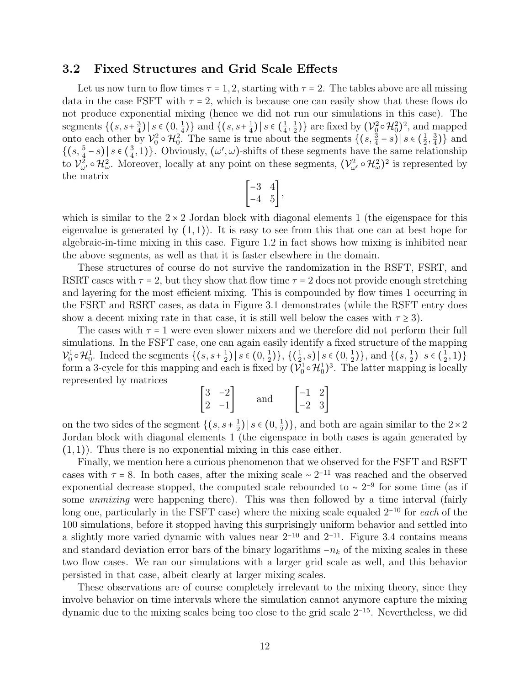#### 3.2 Fixed Structures and Grid Scale Effects

Let us now turn to flow times  $\tau = 1, 2$ , starting with  $\tau = 2$ . The tables above are all missing data in the case FSFT with  $\tau = 2$ , which is because one can easily show that these flows do not produce exponential mixing (hence we did not run our simulations in this case). The segments  $\{(s, s+\frac{3}{4})\}$  $\frac{3}{4}$ ) | s  $\in (0, \frac{1}{4})$  $\frac{1}{4}$ ) and  $\{(s, s+1)$  $\frac{1}{4}$ ) | s  $\in$   $\left(\frac{1}{4}\right)$  $\frac{1}{4}, \frac{1}{2}$  $\{\frac{1}{2}\}\}\$ are fixed by  $(\mathcal{V}_{0}^{2}\circ\mathcal{H}_{0}^{2})^{2}$ , and mapped onto each other by  $\mathcal{V}_0^2 \circ \mathcal{H}_0^2$ . The same is true about the segments  $\{(s, \frac{3}{4} - s) | s \in (\frac{1}{2}) \}$  $\frac{1}{2}, \frac{3}{4}$  $\frac{3}{4})\}$  and  $\left\{ \left( s, \frac{5}{4} - s \right) \middle| s \in \left( \frac{3}{4} \right) \right\}$  $\{\frac{3}{4}, 1\}$ . Obviously,  $(\omega', \omega)$ -shifts of these segments have the same relationship to  $\mathcal{V}^2_{\omega'} \circ \mathcal{H}^2_{\omega}$ . Moreover, locally at any point on these segments,  $(\mathcal{V}^2_{\omega'} \circ \mathcal{H}^2_{\omega})^2$  is represented by the matrix

$$
\begin{bmatrix} -3 & 4 \\ -4 & 5 \end{bmatrix}
$$

which is similar to the  $2 \times 2$  Jordan block with diagonal elements 1 (the eigenspace for this eigenvalue is generated by  $(1,1)$ . It is easy to see from this that one can at best hope for algebraic-in-time mixing in this case. Figure 1.2 in fact shows how mixing is inhibited near the above segments, as well as that it is faster elsewhere in the domain.

These structures of course do not survive the randomization in the RSFT, FSRT, and RSRT cases with  $\tau = 2$ , but they show that flow time  $\tau = 2$  does not provide enough stretching and layering for the most efficient mixing. This is compounded by flow times 1 occurring in the FSRT and RSRT cases, as data in Figure 3.1 demonstrates (while the RSFT entry does show a decent mixing rate in that case, it is still well below the cases with  $\tau \geq 3$ ).

The cases with  $\tau = 1$  were even slower mixers and we therefore did not perform their full simulations. In the FSFT case, one can again easily identify a fixed structure of the mapping  $\mathcal{V}_0^1 \circ \mathcal{H}_0^1$ . Indeed the segments  $\{(s, s+1)$  $\frac{1}{2}$ ) | s ∈ (0,  $\frac{1}{2}$ )  $\{\frac{1}{2}\}, \{(\frac{1}{2}, s) | s \in (0, \frac{1}{2})\}$  $\frac{1}{2}$ ), and  $\{(s, \frac{1}{2}) | s \in (\frac{1}{2})\}$  $\frac{1}{2}, 1)$ form a 3-cycle for this mapping and each is fixed by  $(\mathcal{V}_0^1 \circ \mathcal{H}_0^1)^3$ . The latter mapping is locally represented by matrices

$$
\begin{bmatrix} 3 & -2 \\ 2 & -1 \end{bmatrix} \qquad \text{and} \qquad \begin{bmatrix} -1 & 2 \\ -2 & 3 \end{bmatrix}
$$

on the two sides of the segment  $\{(s, s+\frac{1}{2})\}$  $\frac{1}{2}$ ) | s ∈ (0,  $\frac{1}{2}$ )  $\frac{1}{2}$ }, and both are again similar to the 2 × 2 Jordan block with diagonal elements 1 (the eigenspace in both cases is again generated by  $(1, 1)$ . Thus there is no exponential mixing in this case either.

Finally, we mention here a curious phenomenon that we observed for the FSFT and RSFT cases with  $\tau = 8$ . In both cases, after the mixing scale ∼ 2<sup>-11</sup> was reached and the observed<br>componential degreese standard the computed scale rehaunded to  $2^{-9}$  for some time (eq.i) exponential decrease stopped, the computed scale rebounded to  $\sim 2^{-9}$  for some time (as if some *unmixing* were happening there). This was then followed by a time interval (fairly long one, particularly in the FSFT case) where the mixing scale equaled 2−<sup>10</sup> for each of the 100 simulations, before it stopped having this surprisingly uniform behavior and settled into a slightly more varied dynamic with values near  $2^{-10}$  and  $2^{-11}$ . Figure 3.4 contains means and standard deviation error bars of the binary logarithms  $-n_k$  of the mixing scales in these two flow cases. We ran our simulations with a larger grid scale as well, and this behavior persisted in that case, albeit clearly at larger mixing scales.

These observations are of course completely irrelevant to the mixing theory, since they involve behavior on time intervals where the simulation cannot anymore capture the mixing dynamic due to the mixing scales being too close to the grid scale 2−<sup>15</sup>. Nevertheless, we did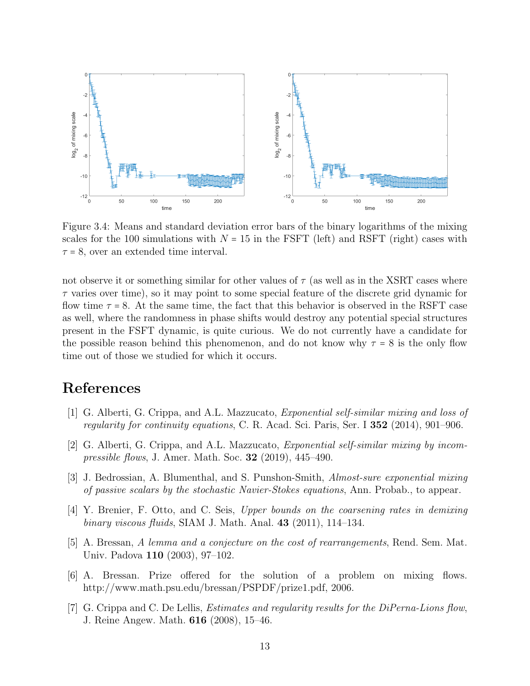

Figure 3.4: Means and standard deviation error bars of the binary logarithms of the mixing scales for the 100 simulations with  $N = 15$  in the FSFT (left) and RSFT (right) cases with  $\tau = 8$ , over an extended time interval.

not observe it or something similar for other values of  $\tau$  (as well as in the XSRT cases where  $\tau$  varies over time), so it may point to some special feature of the discrete grid dynamic for flow time  $\tau = 8$ . At the same time, the fact that this behavior is observed in the RSFT case as well, where the randomness in phase shifts would destroy any potential special structures present in the FSFT dynamic, is quite curious. We do not currently have a candidate for the possible reason behind this phenomenon, and do not know why  $\tau = 8$  is the only flow time out of those we studied for which it occurs.

## References

- [1] G. Alberti, G. Crippa, and A.L. Mazzucato, Exponential self-similar mixing and loss of regularity for continuity equations, C. R. Acad. Sci. Paris, Ser. I 352 (2014), 901–906.
- [2] G. Alberti, G. Crippa, and A.L. Mazzucato, *Exponential self-similar mixing by incom*pressible flows, J. Amer. Math. Soc. 32 (2019), 445–490.
- [3] J. Bedrossian, A. Blumenthal, and S. Punshon-Smith, Almost-sure exponential mixing of passive scalars by the stochastic Navier-Stokes equations, Ann. Probab., to appear.
- [4] Y. Brenier, F. Otto, and C. Seis, Upper bounds on the coarsening rates in demixing binary viscous fluids, SIAM J. Math. Anal.  $43$  (2011), 114–134.
- [5] A. Bressan, A lemma and a conjecture on the cost of rearrangements, Rend. Sem. Mat. Univ. Padova 110 (2003), 97–102.
- [6] A. Bressan. Prize offered for the solution of a problem on mixing flows. http://www.math.psu.edu/bressan/PSPDF/prize1.pdf, 2006.
- [7] G. Crippa and C. De Lellis, Estimates and regularity results for the DiPerna-Lions flow, J. Reine Angew. Math. 616 (2008), 15–46.